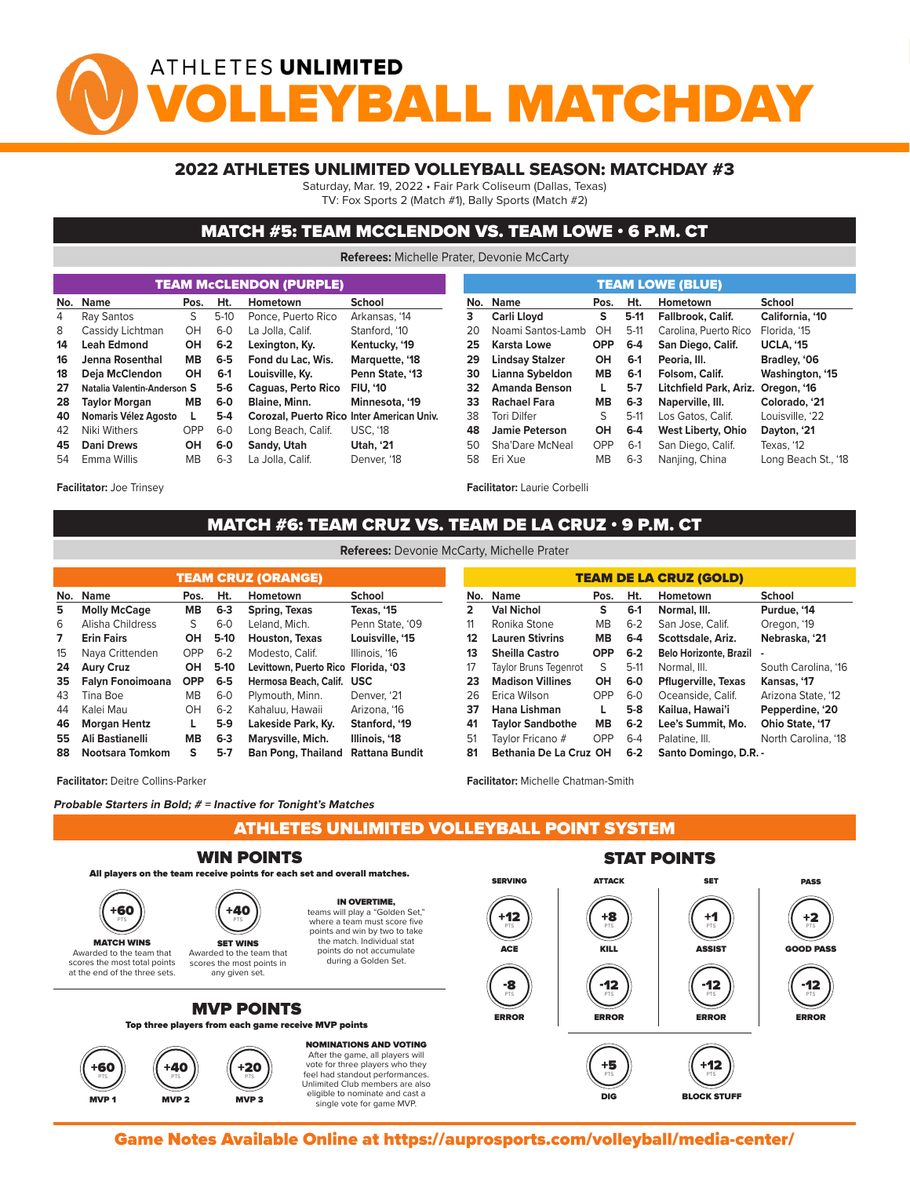## ATHLETES UNLIMITED YBALL MATCHDA

## 2022 ATHLETES UNLIMITED VOLLEYBALL SEASON: MATCHDAY #3

Saturday, Mar. 19, 2022 • Fair Park Coliseum (Dallas, Texas)

TV: Fox Sports 2 (Match #1), Bally Sports (Match #2)

## MATCH #5: TEAM MCCLENDON VS. TEAM LOWE • 6 P.M. CT

**Referees:** Michelle Prater, Devonie McCarty

|          |                                                       |           |                                                           | <b>TEAM McCLENDON (PURPLE)</b> |                       | <b>TEAM LOWE (BLUE)</b> |                        |                   |         |                           |  |  |  |  |  |  |  |  |
|----------|-------------------------------------------------------|-----------|-----------------------------------------------------------|--------------------------------|-----------------------|-------------------------|------------------------|-------------------|---------|---------------------------|--|--|--|--|--|--|--|--|
| No. Name |                                                       | Pos.      | Ht.                                                       | Hometown                       | <b>School</b>         | No.                     | <b>Name</b>            | Pos.              | Ht.     |                           |  |  |  |  |  |  |  |  |
| 4        | Ray Santos                                            | S.        | $5-10$                                                    | Ponce, Puerto Rico             | Arkansas, '14         | 3.                      | Carli Lloyd            | s                 | $5-11$  |                           |  |  |  |  |  |  |  |  |
| 8        | Cassidy Lichtman                                      | OH.       | $6-0$                                                     | La Jolla, Calif.               | Stanford, '10         | Noami Santos-Lamb<br>20 |                        | OH<br>$5-11$      |         |                           |  |  |  |  |  |  |  |  |
| 14       | $6 - 2$<br>OH<br><b>Leah Edmond</b><br>Lexington, Ky. |           | Kentucky, '19                                             | 25                             | Karsta Lowe           | <b>OPP</b>              | $6 - 4$                | San Diego, Calif. |         |                           |  |  |  |  |  |  |  |  |
| 16       | <b>MB</b><br>Jenna Rosenthal                          |           | $6-5$                                                     | Fond du Lac. Wis.              | Marquette, '18<br>29  |                         | <b>Lindsay Stalzer</b> | OH<br>$6-1$       |         |                           |  |  |  |  |  |  |  |  |
| 18       | Deia McClendon                                        |           | $6-1$                                                     | Louisville, Kv.                | Penn State, '13       | Lianna Sybeldon<br>30   |                        | <b>MB</b>         | $6-1$   |                           |  |  |  |  |  |  |  |  |
| 27       | Natalia Valentin-Anderson S                           |           | $5-6$<br><b>Caguas, Perto Rico</b>                        |                                | <b>FIU. '10</b><br>32 |                         | <b>Amanda Benson</b>   | L.                | $5 - 7$ |                           |  |  |  |  |  |  |  |  |
| 28       | <b>Taylor Morgan</b>                                  | <b>MB</b> | 6-0                                                       | Blaine, Minn.                  | Minnesota, '19        | 33                      | Rachael Fara           | <b>MB</b>         | $6 - 3$ |                           |  |  |  |  |  |  |  |  |
| 40       | Nomaris Vélez Agosto                                  |           | $5-4$<br><b>Corozal, Puerto Rico Inter American Univ.</b> |                                |                       | 38                      | <b>Tori Dilfer</b>     | S                 | $5-11$  | Los Gatos, Calif.         |  |  |  |  |  |  |  |  |
| 42       | Niki Withers                                          |           | $6 - 0$                                                   | Long Beach, Calif.             | <b>USC. '18</b><br>48 |                         | Jamie Peterson         | OH                | $6 - 4$ | <b>West Liberty, Ohio</b> |  |  |  |  |  |  |  |  |
| 45       | <b>Dani Drews</b>                                     | OH        | $6-0$                                                     | Sandy, Utah                    | <b>Utah. '21</b>      | 50                      | Sha'Dare McNeal        | <b>OPP</b>        | $6-1$   | San Diego, Calif.         |  |  |  |  |  |  |  |  |
| 54       | $6 - 3$<br>MВ<br>La Jolla, Calif.<br>Emma Willis      |           | Denver, '18                                               | 58                             | Eri Xue               | MB.                     | $6 - 3$                |                   |         |                           |  |  |  |  |  |  |  |  |

**Facilitator:** Joe Trinsey

| MATCH #6: TEAM CRUZ VS. TEAM DE LA CRUZ $\cdot$ 9 P.M. CT |  |
|-----------------------------------------------------------|--|
|                                                           |  |
|                                                           |  |

| <b>TEAM CRUZ (ORANGE)</b> |                     |            |         |                                     |                 |  |  |  |  |  |  |  |  |
|---------------------------|---------------------|------------|---------|-------------------------------------|-----------------|--|--|--|--|--|--|--|--|
| No.                       | <b>Name</b>         | Pos.       | Ht.     | Hometown                            | School          |  |  |  |  |  |  |  |  |
| 5                         | <b>Molly McCage</b> | <b>MB</b>  | $6 - 3$ | Spring, Texas                       | Texas, '15      |  |  |  |  |  |  |  |  |
| 6                         | Alisha Childress    | S          | $6-0$   | Leland, Mich.                       | Penn State, '09 |  |  |  |  |  |  |  |  |
| 7                         | <b>Erin Fairs</b>   | OН         | $5-10$  | Houston, Texas                      | Louisville, '15 |  |  |  |  |  |  |  |  |
| 15                        | Naya Crittenden     | OPP        | $6 - 2$ | Modesto, Calif.                     | Illinois. '16   |  |  |  |  |  |  |  |  |
| 24                        | <b>Aury Cruz</b>    |            | $5-10$  | Levittown, Puerto Rico Florida, '03 |                 |  |  |  |  |  |  |  |  |
| 35                        | Falyn Fonoimoana    | <b>OPP</b> | $6-5$   | Hermosa Beach, Calif.               | <b>USC</b>      |  |  |  |  |  |  |  |  |
| 43                        | Tina Boe            | <b>MB</b>  | $6-0$   | Plymouth, Minn.                     | Denver, '21     |  |  |  |  |  |  |  |  |
| 44                        | Kalei Mau           | <b>OH</b>  | $6 - 2$ | Kahaluu, Hawaii                     | Arizona. '16    |  |  |  |  |  |  |  |  |
| 46                        | <b>Morgan Hentz</b> | L          | $5-9$   | Lakeside Park, Ky.                  | Stanford, '19   |  |  |  |  |  |  |  |  |
| 55                        | Ali Bastianelli     | <b>MB</b>  | $6 - 3$ | Marysville, Mich.                   | Illinois, '18   |  |  |  |  |  |  |  |  |
| 88                        | Nootsara Tomkom     | S          | $5-7$   | <b>Ban Pong, Thailand</b>           | Rattana Bundit  |  |  |  |  |  |  |  |  |

**Facilitator:** Deitre Collins-Parker

**Probable Starters in Bold; # = Inactive for Tonight's Matches**

ATHLETES UNLIMITED VOLLEYBALL POINT SYSTEM



Game Notes Available Online at https://auprosports.com/volleyball/media-center/<br>.

**Referees:** Devonie McCarty, Michelle Prater

| <b>TEAM DE LA CRUZ (GOLD)</b> |                              |            |         |                               |                        |  |  |  |  |  |  |  |
|-------------------------------|------------------------------|------------|---------|-------------------------------|------------------------|--|--|--|--|--|--|--|
| No.                           | <b>Name</b>                  | Pos.       | Ht.     | Hometown                      | <b>School</b>          |  |  |  |  |  |  |  |
| $\overline{2}$                | <b>Val Nichol</b>            | s          | $6-1$   | Normal, III.                  | Purdue, '14            |  |  |  |  |  |  |  |
| 11                            | Ronika Stone                 | <b>MB</b>  | $6 - 2$ | San Jose, Calif.              | Oregon, '19            |  |  |  |  |  |  |  |
| 12                            | <b>Lauren Stivrins</b>       | MВ         | $6-4$   | Scottsdale, Ariz.             | Nebraska, '21          |  |  |  |  |  |  |  |
| 13                            | <b>Sheilla Castro</b>        | <b>OPP</b> | $6 - 2$ | <b>Belo Horizonte, Brazil</b> | $\blacksquare$         |  |  |  |  |  |  |  |
| 17                            | <b>Taylor Bruns Tegenrot</b> | S          | $5-11$  | Normal, III.                  | South Carolina, '16    |  |  |  |  |  |  |  |
| 23                            | <b>Madison Villines</b>      | OH         | $6-0$   | <b>Pflugerville, Texas</b>    | Kansas, '17            |  |  |  |  |  |  |  |
| 26                            | Erica Wilson                 | OPP        | $6-0$   | Oceanside, Calif.             | Arizona State, '12     |  |  |  |  |  |  |  |
| 37                            | Hana Lishman                 | L          | $5-8$   | Kailua, Hawai'i               | Pepperdine, '20        |  |  |  |  |  |  |  |
| 41                            | <b>Taylor Sandbothe</b>      | <b>MB</b>  | $6 - 2$ | Lee's Summit. Mo.             | <b>Ohio State, '17</b> |  |  |  |  |  |  |  |
| 51                            | Taylor Fricano #             | OPP        | $6-4$   | Palatine, III.                | North Carolina, '18    |  |  |  |  |  |  |  |
| 81                            | Bethania De La Cruz OH       |            | $6 - 2$ | Santo Domingo, D.R. -         |                        |  |  |  |  |  |  |  |

single vote for game MVP.

**Facilitator:** Michelle Chatman-Smith

MVP 2 MVP 2 MVP 3 MVP 3 MVP 3 MVP 3 MVP 3 MVP 3 MVP 3 MVP 3 MVP 3 MVP 3 MVP 3 MVP 3 MVP 3 MVP 3 MVP 3 MVP 3 MV

**Facilitator:** Laurie Corbelli